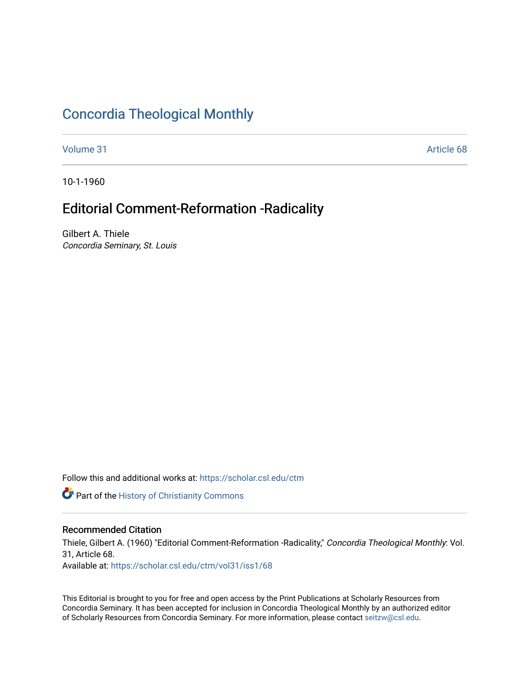### [Concordia Theological Monthly](https://scholar.csl.edu/ctm)

[Volume 31](https://scholar.csl.edu/ctm/vol31) Article 68

10-1-1960

## Editorial Comment-Reformation -Radicality

Gilbert A. Thiele Concordia Seminary, St. Louis

Follow this and additional works at: [https://scholar.csl.edu/ctm](https://scholar.csl.edu/ctm?utm_source=scholar.csl.edu%2Fctm%2Fvol31%2Fiss1%2F68&utm_medium=PDF&utm_campaign=PDFCoverPages)

**Part of the History of Christianity Commons** 

#### Recommended Citation

Thiele, Gilbert A. (1960) "Editorial Comment-Reformation -Radicality," Concordia Theological Monthly: Vol. 31, Article 68. Available at: [https://scholar.csl.edu/ctm/vol31/iss1/68](https://scholar.csl.edu/ctm/vol31/iss1/68?utm_source=scholar.csl.edu%2Fctm%2Fvol31%2Fiss1%2F68&utm_medium=PDF&utm_campaign=PDFCoverPages) 

This Editorial is brought to you for free and open access by the Print Publications at Scholarly Resources from Concordia Seminary. It has been accepted for inclusion in Concordia Theological Monthly by an authorized editor of Scholarly Resources from Concordia Seminary. For more information, please contact [seitzw@csl.edu](mailto:seitzw@csl.edu).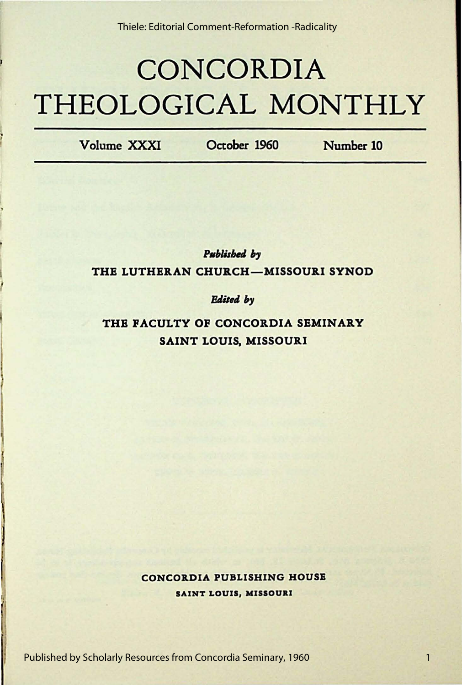# **CONCORDIA THEOLOGICAL MONTHLY**

Volume XXXI October 1960 Number 10

**Published** by THE LUTHERAN CHURCH-MISSOURI SYNOD

#### **Edited** by

THE FACULTY OF CONCORDIA SEMINARY SAINT LOUIS. MISSOURI

> CONCORDIA PUBLISHING HOUSE SAINT LOUIS, **MISSOUaI**

Published by Scholarly Resources from Concordia Seminary, 1960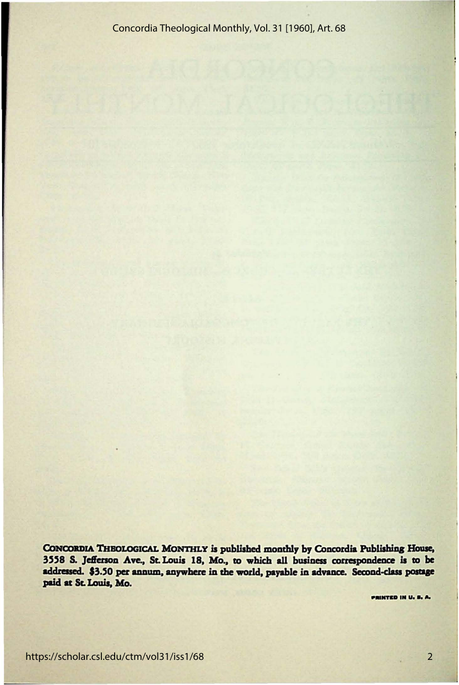CONCORDIA THEOLOGICAL MONTHLY is published monthly by Concordia Publishing House, 3558 S. Jefferson Ave., St. Louis 18, Mo., to which all business correspondence is to be addressed. \$3.50 per annum, anywhere in the world, payable in advance. Second-class postage paid at St. Louis, Mo.

PRINTED IN U. S. A.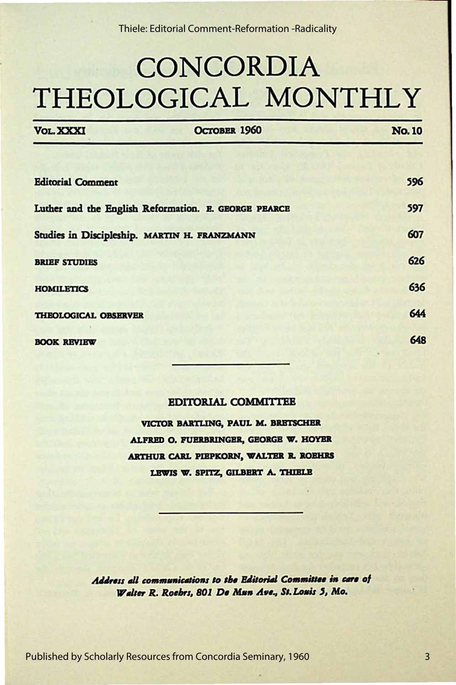## **CONCORDIA** THEOLOGICAL MONTHLY

| <b>VOL. XXXI</b>                             | OCTOBER 1960                                         | <b>No. 10</b> |
|----------------------------------------------|------------------------------------------------------|---------------|
|                                              |                                                      |               |
| <b>Editorial Comment</b>                     |                                                      | 596           |
|                                              | Luther and the English Reformation. E. GEORGE PEARCE | 597           |
| Studies in Discipleship. MARTIN H. FRANZMANN |                                                      | 607           |
| <b>BRIEF STUDIES</b>                         |                                                      | 626           |
| <b>HOMILETICS</b>                            |                                                      | 636           |
| THEOLOGICAL OBSERVER                         |                                                      | 644           |
| <b>BOOK REVIEW</b>                           |                                                      | 648           |

#### **EDITORIAL COMMITTEE**

VICTOR BARTLING, PAUL M. BRETSCHER ALFRED O. FUERBRINGER, GEORGE W. HOYER ARTHUR CARL PIEPKORN, WALTER R. ROEHRS LEWIS W. SPITZ, GILBERT A. THIELE

Address all communications to the Editorial Committee in care of Walter R. Roebrs, 801 De Mun Ave., St. Louis 5, Mo.